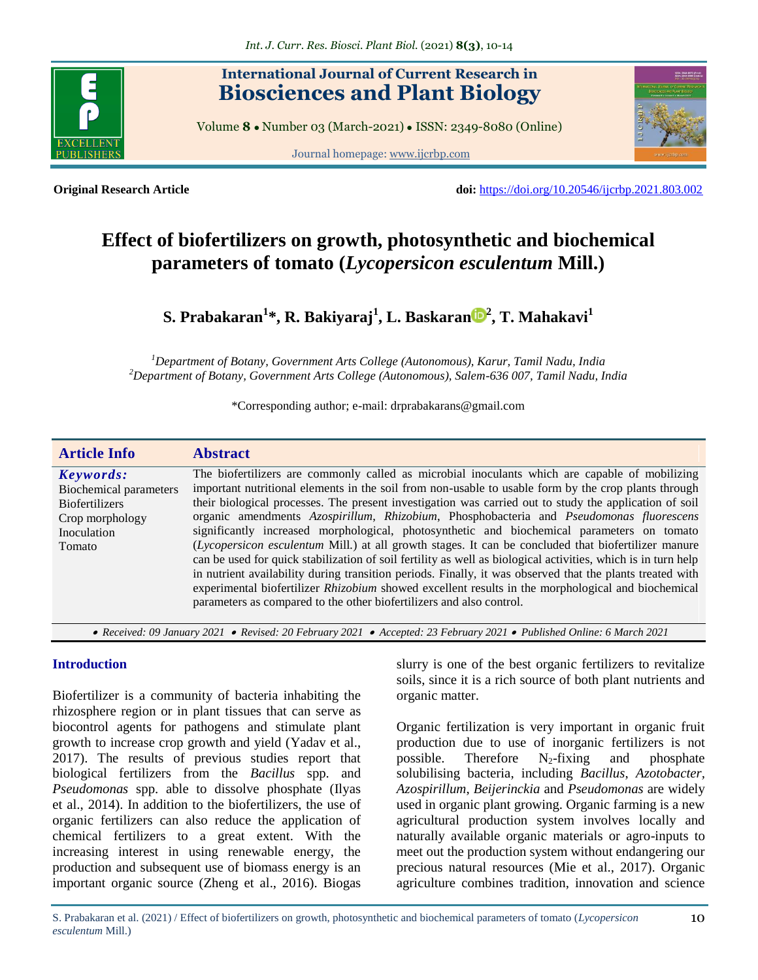

# **International Journal of Current Research in Biosciences and Plant Biology**

Volume **8** ● Number 03 (March-2021) ● ISSN: 2349-8080 (Online)

Journal homepage: [www.ijcrbp.com](http://www.ijcrbp.com/)



**Original Research Article doi:** <https://doi.org/10.20546/ijcrbp.2021.803.002>

# **Effect of biofertilizers on growth, photosynthetic and biochemical parameters of tomato (***Lycopersicon esculentum* **Mill.)**

**S. Prabakaran<sup>1</sup> \*, R. Bakiyaraj<sup>1</sup> , [L. Baskaran](https://orcid.org/0000-0003-1309-9372) <sup>2</sup> , T. Mahakavi<sup>1</sup>**

*<sup>1</sup>Department of Botany, Government Arts College (Autonomous), Karur, Tamil Nadu, India <sup>2</sup>Department of Botany, Government Arts College (Autonomous), Salem-636 007, Tamil Nadu, India*

\*Corresponding author; e-mail: drprabakarans@gmail.com

| <b>Article Info</b>                                                                                      | <b>Abstract</b>                                                                                                                                                                                                                                                                                                                                                                                                                                                                                                                                                                                                                                                                                                                                                                                                                                                                                                                                                                                                                     |
|----------------------------------------------------------------------------------------------------------|-------------------------------------------------------------------------------------------------------------------------------------------------------------------------------------------------------------------------------------------------------------------------------------------------------------------------------------------------------------------------------------------------------------------------------------------------------------------------------------------------------------------------------------------------------------------------------------------------------------------------------------------------------------------------------------------------------------------------------------------------------------------------------------------------------------------------------------------------------------------------------------------------------------------------------------------------------------------------------------------------------------------------------------|
| Keywords:<br>Biochemical parameters<br><b>Biofertilizers</b><br>Crop morphology<br>Inoculation<br>Tomato | The biofertilizers are commonly called as microbial inoculants which are capable of mobilizing<br>important nutritional elements in the soil from non-usable to usable form by the crop plants through<br>their biological processes. The present investigation was carried out to study the application of soil<br>organic amendments Azospirillum, Rhizobium, Phosphobacteria and Pseudomonas fluorescens<br>significantly increased morphological, photosynthetic and biochemical parameters on tomato<br>(Lycopersicon esculentum Mill.) at all growth stages. It can be concluded that biofertilizer manure<br>can be used for quick stabilization of soil fertility as well as biological activities, which is in turn help<br>in nutrient availability during transition periods. Finally, it was observed that the plants treated with<br>experimental biofertilizer <i>Rhizobium</i> showed excellent results in the morphological and biochemical<br>parameters as compared to the other biofertilizers and also control. |
| ורחת נובל וביות המינויות המינויות המינויות במחרי מינויות המינויות                                        |                                                                                                                                                                                                                                                                                                                                                                                                                                                                                                                                                                                                                                                                                                                                                                                                                                                                                                                                                                                                                                     |

 *Received: 09 January 2021 Revised: 20 February 2021 Accepted: 23 February 2021 Published Online: 6 March 2021*

# **Introduction**

Biofertilizer is a community of bacteria inhabiting the rhizosphere region or in plant tissues that can serve as biocontrol agents for pathogens and stimulate plant growth to increase crop growth and yield (Yadav et al., 2017). The results of previous studies report that biological fertilizers from the *Bacillus* spp. and *Pseudomonas* spp. able to dissolve phosphate (Ilyas et al., 2014). In addition to the biofertilizers, the use of organic fertilizers can also reduce the application of chemical fertilizers to a great extent. With the increasing interest in using renewable energy, the production and subsequent use of biomass energy is an important organic source (Zheng et al., 2016). Biogas

slurry is one of the best organic fertilizers to revitalize soils, since it is a rich source of both plant nutrients and organic matter.

Organic fertilization is very important in organic fruit production due to use of inorganic fertilizers is not possible. Therefore  $N_2$ -fixing and phosphate solubilising bacteria, including *Bacillus*, *Azotobacter, Azospirillum*, *Beijerinckia* and *Pseudomonas* are widely used in organic plant growing. Organic farming is a new agricultural production system involves locally and naturally available organic materials or agro-inputs to meet out the production system without endangering our precious natural resources (Mie et al., 2017). Organic agriculture combines tradition, innovation and science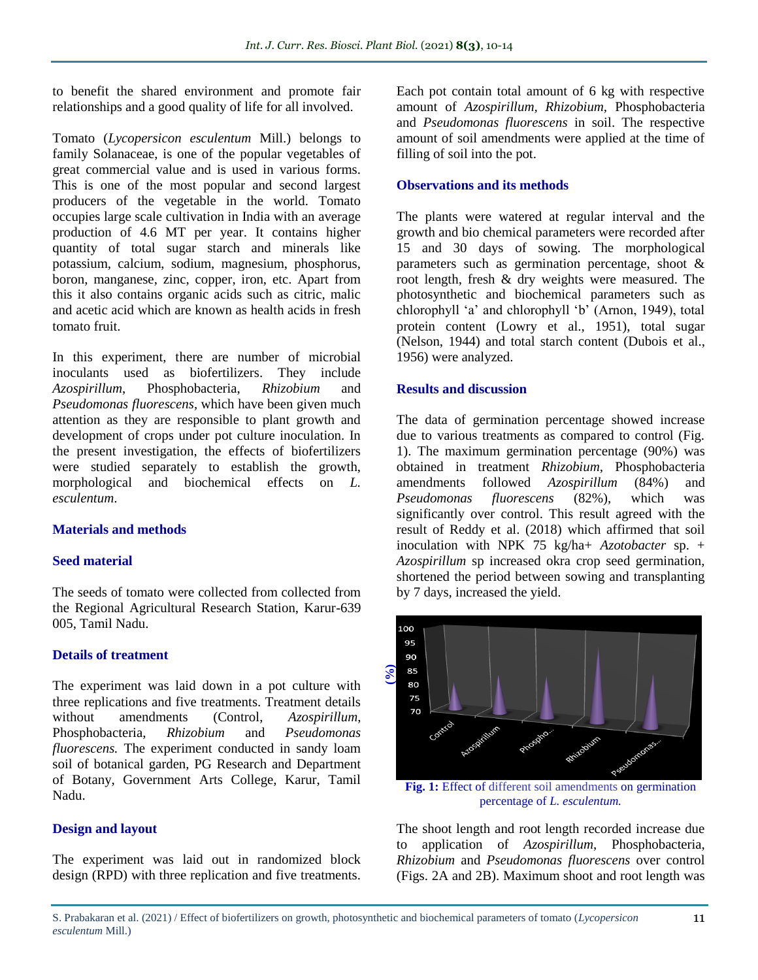to benefit the shared environment and promote fair relationships and a good quality of life for all involved.

Tomato (*Lycopersicon esculentum* Mill.) belongs to family Solanaceae, is one of the popular vegetables of great commercial value and is used in various forms. This is one of the most popular and second largest producers of the vegetable in the world. Tomato occupies large scale cultivation in India with an average production of 4.6 MT per year. It contains higher quantity of total sugar starch and minerals like potassium, calcium, sodium, magnesium, phosphorus, boron, manganese, zinc, copper, iron, etc. Apart from this it also contains organic acids such as citric, malic and acetic acid which are known as health acids in fresh tomato fruit.

In this experiment, there are number of microbial inoculants used as biofertilizers. They include *Azospirillum*, Phosphobacteria, *Rhizobium* and *Pseudomonas fluorescens*, which have been given much attention as they are responsible to plant growth and development of crops under pot culture inoculation. In the present investigation, the effects of biofertilizers were studied separately to establish the growth, morphological and biochemical effects on *L. esculentum*.

# **Materials and methods**

# **Seed material**

The seeds of tomato were collected from collected from the Regional Agricultural Research Station, Karur-639 005, Tamil Nadu.

# **Details of treatment**

The experiment was laid down in a pot culture with three replications and five treatments. Treatment details without amendments (Control, *Azospirillum*, Phosphobacteria, *Rhizobium* and *Pseudomonas fluorescens.* The experiment conducted in sandy loam soil of botanical garden, PG Research and Department of Botany, Government Arts College, Karur, Tamil Nadu.

# **Design and layout**

The experiment was laid out in randomized block design (RPD) with three replication and five treatments. Each pot contain total amount of 6 kg with respective amount of *Azospirillum, Rhizobium,* Phosphobacteria and *Pseudomonas fluorescens* in soil. The respective amount of soil amendments were applied at the time of filling of soil into the pot.

# **Observations and its methods**

The plants were watered at regular interval and the growth and bio chemical parameters were recorded after 15 and 30 days of sowing. The morphological parameters such as germination percentage, shoot & root length, fresh & dry weights were measured. The photosynthetic and biochemical parameters such as chlorophyll 'a' and chlorophyll 'b' (Arnon, 1949), total protein content (Lowry et al., 1951), total sugar (Nelson, 1944) and total starch content (Dubois et al., 1956) were analyzed.

# **Results and discussion**

The data of germination percentage showed increase due to various treatments as compared to control (Fig. 1). The maximum germination percentage (90%) was obtained in treatment *Rhizobium,* Phosphobacteria amendments followed *Azospirillum* (84%) and *Pseudomonas fluorescens* (82%), which was significantly over control. This result agreed with the result of Reddy et al. (2018) which affirmed that soil inoculation with NPK 75 kg/ha+ *Azotobacter* sp. + *Azospirillum* sp increased okra crop seed germination, shortened the period between sowing and transplanting by 7 days, increased the yield.



**Fig. 1:** Effect of different soil amendments on germination percentage of *L. esculentum.*

The shoot length and root length recorded increase due to application of *Azospirillum*, Phosphobacteria, *Rhizobium* and *Pseudomonas fluorescens* over control (Figs. 2A and 2B). Maximum shoot and root length was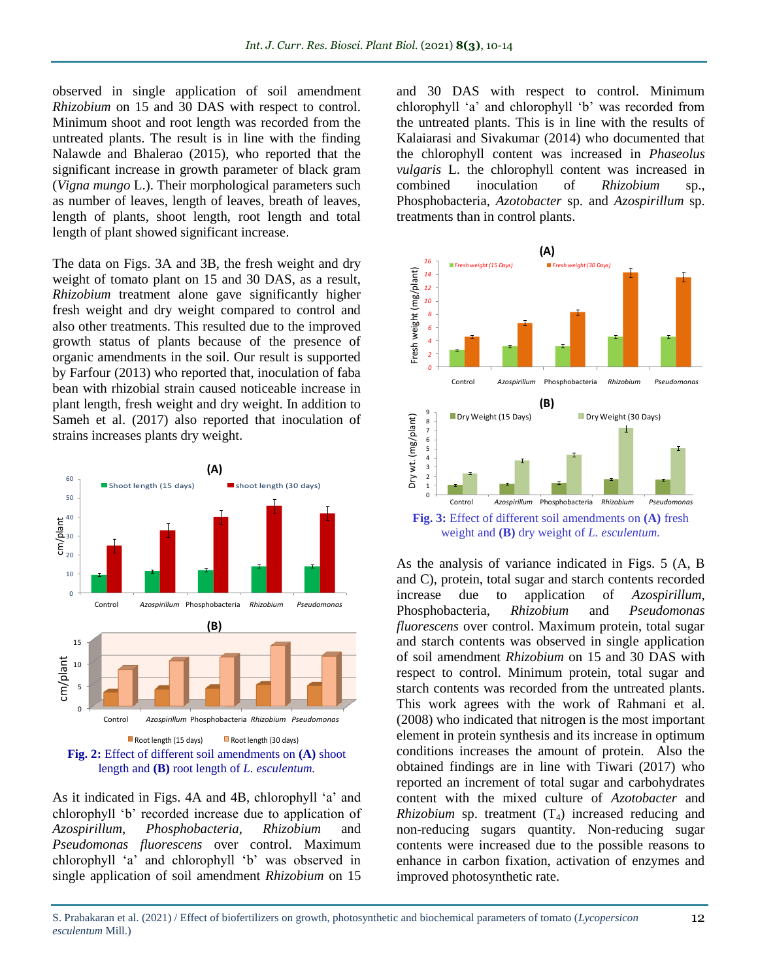observed in single application of soil amendment *Rhizobium* on 15 and 30 DAS with respect to control. Minimum shoot and root length was recorded from the untreated plants. The result is in line with the finding Nalawde and Bhalerao (2015), who reported that the significant increase in growth parameter of black gram (*Vigna mungo* L.). Their morphological parameters such as number of leaves, length of leaves, breath of leaves, length of plants, shoot length, root length and total length of plant showed significant increase.

The data on Figs. 3A and 3B, the fresh weight and dry weight of tomato plant on 15 and 30 DAS, as a result, *Rhizobium* treatment alone gave significantly higher fresh weight and dry weight compared to control and also other treatments. This resulted due to the improved growth status of plants because of the presence of organic amendments in the soil. Our result is supported by Farfour (2013) who reported that, inoculation of faba bean with rhizobial strain caused noticeable increase in plant length, fresh weight and dry weight. In addition to Sameh et al. (2017) also reported that inoculation of strains increases plants dry weight.



As it indicated in Figs. 4A and 4B, chlorophyll 'a' and chlorophyll 'b' recorded increase due to application of *Azospirillum*, *Phosphobacteria*, *Rhizobium* and *Pseudomonas fluorescens* over control. Maximum chlorophyll 'a' and chlorophyll 'b' was observed in single application of soil amendment *Rhizobium* on 15

and 30 DAS with respect to control. Minimum chlorophyll 'a' and chlorophyll 'b' was recorded from the untreated plants. This is in line with the results of Kalaiarasi and Sivakumar (2014) who documented that the chlorophyll content was increased in *Phaseolus vulgaris* L. the chlorophyll content was increased in combined inoculation of *Rhizobium* sp., Phosphobacteria, *Azotobacter* sp. and *Azospirillum* sp. inoculation of *Rhizobium* sp., Phosphobacteria, *Azotobacter* sp. and *Azospirillum* sp. *6* treatments than in control plants.  $\frac{1}{2}$ <br> $\frac{1}{2}$ <br> $\frac{1}{2}$ tr<br> **16**<br>
171 el<br>th<br>K<br>A a<br>cl<br>th  $\frac{a}{c}$ *Control Azospirillum Phospho bacteria Rhizobium Pseudomonas*  combined *10*



Fig. 3: Effect of different soil amendments on **(A)** fresh Dry Weight (15 Days) Dry Weight (30 Days) weight and **(B)** dry weight of *L. esculentum.*

As the analysis of variance indicated in Figs. 5 (A, B and C), protein, total sugar and starch contents recorded increase due to application of *Azospirillum*, Phosphobacteria, *Rhizobium* and *Pseudomonas fluorescens* over control. Maximum protein, total sugar and starch contents was observed in single application of soil amendment *Rhizobium* on 15 and 30 DAS with respect to control. Minimum protein, total sugar and starch contents was recorded from the untreated plants. This work agrees with the work of Rahmani et al. (2008) who indicated that nitrogen is the most important element in protein synthesis and its increase in optimum conditions increases the amount of protein. Also the obtained findings are in line with Tiwari (2017) who reported an increment of total sugar and carbohydrates content with the mixed culture of *Azotobacter* and *Rhizobium* sp. treatment  $(T_4)$  increased reducing and non-reducing sugars quantity. Non-reducing sugar contents were increased due to the possible reasons to enhance in carbon fixation, activation of enzymes and improved photosynthetic rate.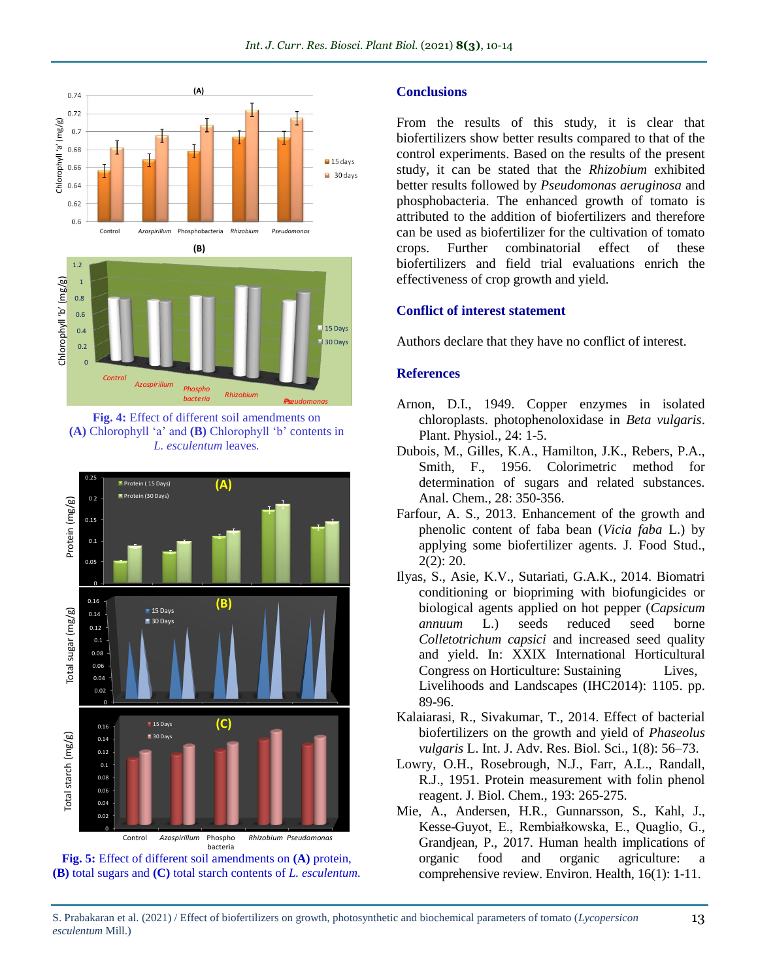

Fig. 4: Effect of different soil amendments on **(A)** Chlorophyll 'a' and **(B)** Chlorophyll 'b' contents in *L. esculentum* leaves*.*





#### **Conclusions**

From the results of this study, it is clear that biofertilizers show better results compared to that of the control experiments. Based on the results of the present study, it can be stated that the *Rhizobium* exhibited better results followed by *Pseudomonas aeruginosa* and phosphobacteria. The enhanced growth of tomato is attributed to the addition of biofertilizers and therefore can be used as biofertilizer for the cultivation of tomato crops. Further combinatorial effect of these biofertilizers and field trial evaluations enrich the effectiveness of crop growth and yield.

#### **Conflict of interest statement**

Authors declare that they have no conflict of interest.

#### **References**

- Arnon, D.I., 1949. Copper enzymes in isolated chloroplasts. photophenoloxidase in *Beta vulgaris*. Plant. Physiol., 24: 1-5.
- Dubois, M., Gilles, K.A., Hamilton, J.K., Rebers, P.A., Smith, F., 1956. Colorimetric method for determination of sugars and related substances. Anal. Chem., 28: 350-356.
- Farfour, A. S., 2013. Enhancement of the growth and phenolic content of faba bean (*Vicia faba* L.) by applying some biofertilizer agents. J. Food Stud., 2(2): 20.
- Ilyas, S., Asie, K.V., Sutariati, G.A.K., 2014. Biomatri conditioning or biopriming with biofungicides or biological agents applied on hot pepper (*Capsicum annuum* L.) seeds reduced seed borne *Colletotrichum capsici* and increased seed quality and yield. In: XXIX International Horticultural Congress on Horticulture: Sustaining Lives, Livelihoods and Landscapes (IHC2014): 1105. pp. 89-96.
- Kalaiarasi, R., Sivakumar, T., 2014. Effect of bacterial biofertilizers on the growth and yield of *Phaseolus vulgaris* L. Int. J. Adv. Res. Biol. Sci., 1(8): 56–73.
- Lowry, O.H., Rosebrough, N.J., Farr, A.L., Randall, R.J., 1951. Protein measurement with folin phenol reagent. J. Biol. Chem., 193: 265-275.
- Mie, A., Andersen, H.R., Gunnarsson, S., Kahl, J., Kesse-Guyot, E., Rembiałkowska, E., Quaglio, G., Grandjean, P., 2017. Human health implications of organic food and organic agriculture: a comprehensive review. Environ. Health, 16(1): 1-11.